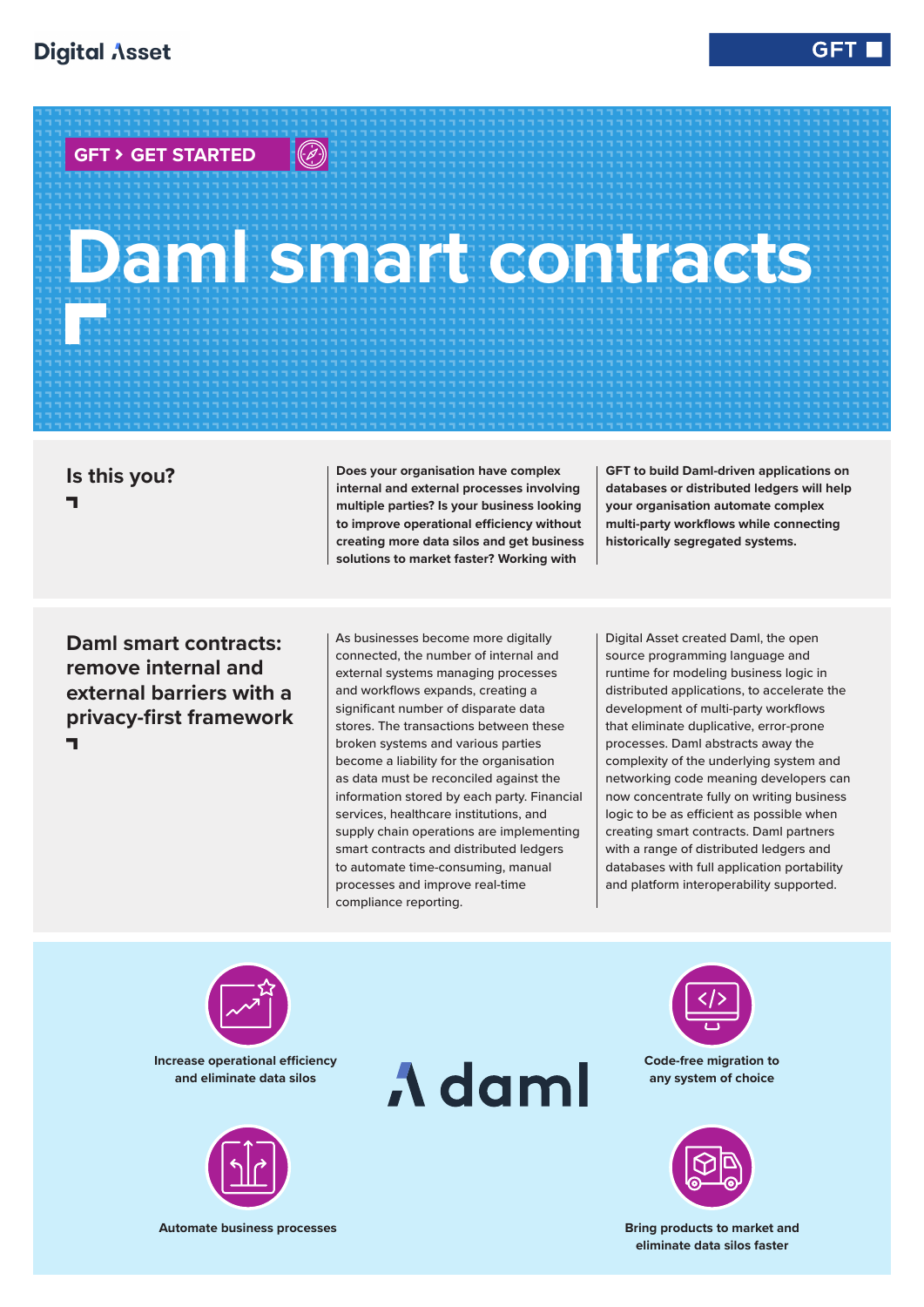**GFT � GET STARTED**

 $\bigodot$ 

## **Daml smart contracts BRATH**<br>BRATHAN<br>BRATHAN<br>BRATHAN<br>BRATHAN

**Is this you? A**

**Does your organisation have complex internal and external processes involving multiple parties? Is your business looking to improve operational efficiency without creating more data silos and get business solutions to market faster? Working with** 

**GFT to build Daml-driven applications on databases or distributed ledgers will help your organisation automate complex multi-party workflows while connecting historically segregated systems.** 

**Daml smart contracts: remove internal and external barriers with a privacy-first framework A**

As businesses become more digitally connected, the number of internal and external systems managing processes and workflows expands, creating a significant number of disparate data stores. The transactions between these broken systems and various parties become a liability for the organisation as data must be reconciled against the information stored by each party. Financial services, healthcare institutions, and supply chain operations are implementing smart contracts and distributed ledgers to automate time-consuming, manual processes and improve real-time compliance reporting.

Digital Asset created Daml, the open source programming language and runtime for modeling business logic in distributed applications, to accelerate the development of multi-party workflows that eliminate duplicative, error-prone processes. Daml abstracts away the complexity of the underlying system and networking code meaning developers can now concentrate fully on writing business logic to be as efficient as possible when creating smart contracts. Daml partners with a range of distributed ledgers and databases with full application portability and platform interoperability supported.